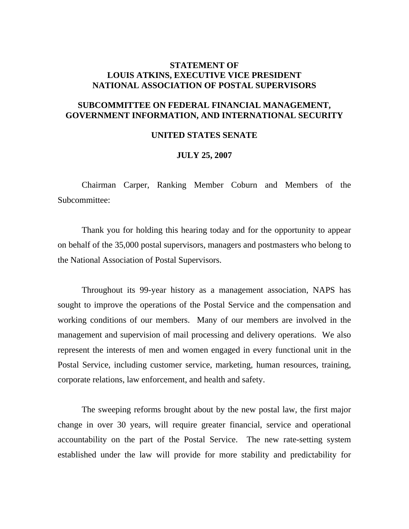## **STATEMENT OF LOUIS ATKINS, EXECUTIVE VICE PRESIDENT NATIONAL ASSOCIATION OF POSTAL SUPERVISORS**

## **SUBCOMMITTEE ON FEDERAL FINANCIAL MANAGEMENT, GOVERNMENT INFORMATION, AND INTERNATIONAL SECURITY**

## **UNITED STATES SENATE**

## **JULY 25, 2007**

 Chairman Carper, Ranking Member Coburn and Members of the Subcommittee:

 Thank you for holding this hearing today and for the opportunity to appear on behalf of the 35,000 postal supervisors, managers and postmasters who belong to the National Association of Postal Supervisors.

 Throughout its 99-year history as a management association, NAPS has sought to improve the operations of the Postal Service and the compensation and working conditions of our members. Many of our members are involved in the management and supervision of mail processing and delivery operations. We also represent the interests of men and women engaged in every functional unit in the Postal Service, including customer service, marketing, human resources, training, corporate relations, law enforcement, and health and safety.

 The sweeping reforms brought about by the new postal law, the first major change in over 30 years, will require greater financial, service and operational accountability on the part of the Postal Service. The new rate-setting system established under the law will provide for more stability and predictability for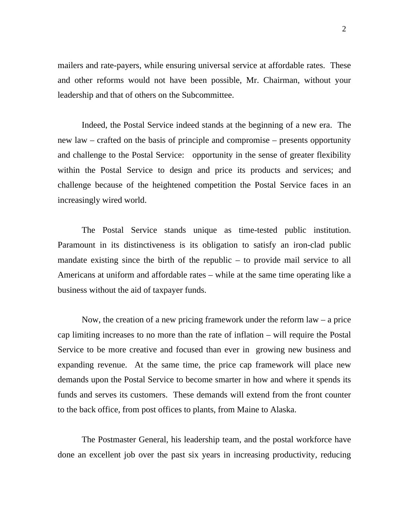mailers and rate-payers, while ensuring universal service at affordable rates. These and other reforms would not have been possible, Mr. Chairman, without your leadership and that of others on the Subcommittee.

 Indeed, the Postal Service indeed stands at the beginning of a new era. The new law – crafted on the basis of principle and compromise – presents opportunity and challenge to the Postal Service: opportunity in the sense of greater flexibility within the Postal Service to design and price its products and services; and challenge because of the heightened competition the Postal Service faces in an increasingly wired world.

 The Postal Service stands unique as time-tested public institution. Paramount in its distinctiveness is its obligation to satisfy an iron-clad public mandate existing since the birth of the republic – to provide mail service to all Americans at uniform and affordable rates – while at the same time operating like a business without the aid of taxpayer funds.

Now, the creation of a new pricing framework under the reform  $law - a price$ cap limiting increases to no more than the rate of inflation – will require the Postal Service to be more creative and focused than ever in growing new business and expanding revenue. At the same time, the price cap framework will place new demands upon the Postal Service to become smarter in how and where it spends its funds and serves its customers. These demands will extend from the front counter to the back office, from post offices to plants, from Maine to Alaska.

 The Postmaster General, his leadership team, and the postal workforce have done an excellent job over the past six years in increasing productivity, reducing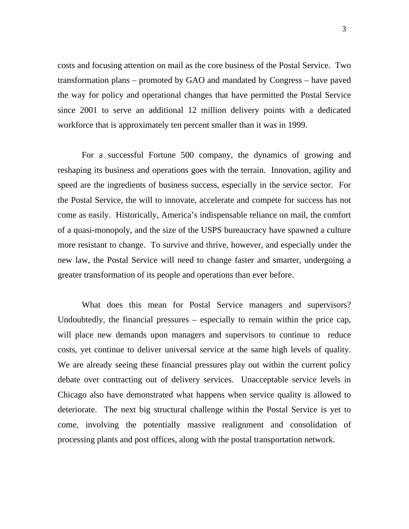costs and focusing attention on mail as the core business of the Postal Service. Two transformation plans – promoted by GAO and mandated by Congress – have paved the way for policy and operational changes that have permitted the Postal Service since 2001 to serve an additional 12 million delivery points with a dedicated workforce that is approximately ten percent smaller than it was in 1999.

 For a successful Fortune 500 company, the dynamics of growing and reshaping its business and operations goes with the terrain. Innovation, agility and speed are the ingredients of business success, especially in the service sector. For the Postal Service, the will to innovate, accelerate and compete for success has not come as easily. Historically, America's indispensable reliance on mail, the comfort of a quasi-monopoly, and the size of the USPS bureaucracy have spawned a culture more resistant to change. To survive and thrive, however, and especially under the new law, the Postal Service will need to change faster and smarter, undergoing a greater transformation of its people and operations than ever before.

 What does this mean for Postal Service managers and supervisors? Undoubtedly, the financial pressures – especially to remain within the price cap, will place new demands upon managers and supervisors to continue to reduce costs, yet continue to deliver universal service at the same high levels of quality. We are already seeing these financial pressures play out within the current policy debate over contracting out of delivery services. Unacceptable service levels in Chicago also have demonstrated what happens when service quality is allowed to deteriorate. The next big structural challenge within the Postal Service is yet to come, involving the potentially massive realignment and consolidation of processing plants and post offices, along with the postal transportation network.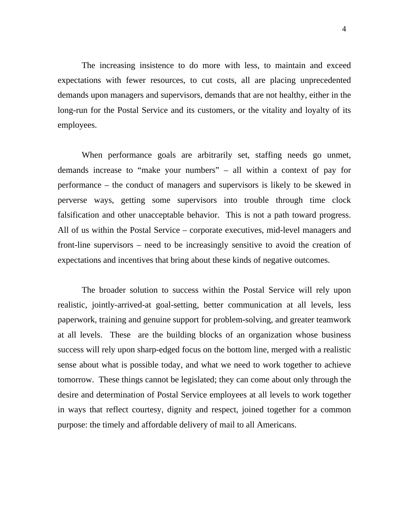The increasing insistence to do more with less, to maintain and exceed expectations with fewer resources, to cut costs, all are placing unprecedented demands upon managers and supervisors, demands that are not healthy, either in the long-run for the Postal Service and its customers, or the vitality and loyalty of its employees.

 When performance goals are arbitrarily set, staffing needs go unmet, demands increase to "make your numbers" – all within a context of pay for performance – the conduct of managers and supervisors is likely to be skewed in perverse ways, getting some supervisors into trouble through time clock falsification and other unacceptable behavior. This is not a path toward progress. All of us within the Postal Service – corporate executives, mid-level managers and front-line supervisors – need to be increasingly sensitive to avoid the creation of expectations and incentives that bring about these kinds of negative outcomes.

 The broader solution to success within the Postal Service will rely upon realistic, jointly-arrived-at goal-setting, better communication at all levels, less paperwork, training and genuine support for problem-solving, and greater teamwork at all levels. These are the building blocks of an organization whose business success will rely upon sharp-edged focus on the bottom line, merged with a realistic sense about what is possible today, and what we need to work together to achieve tomorrow. These things cannot be legislated; they can come about only through the desire and determination of Postal Service employees at all levels to work together in ways that reflect courtesy, dignity and respect, joined together for a common purpose: the timely and affordable delivery of mail to all Americans.